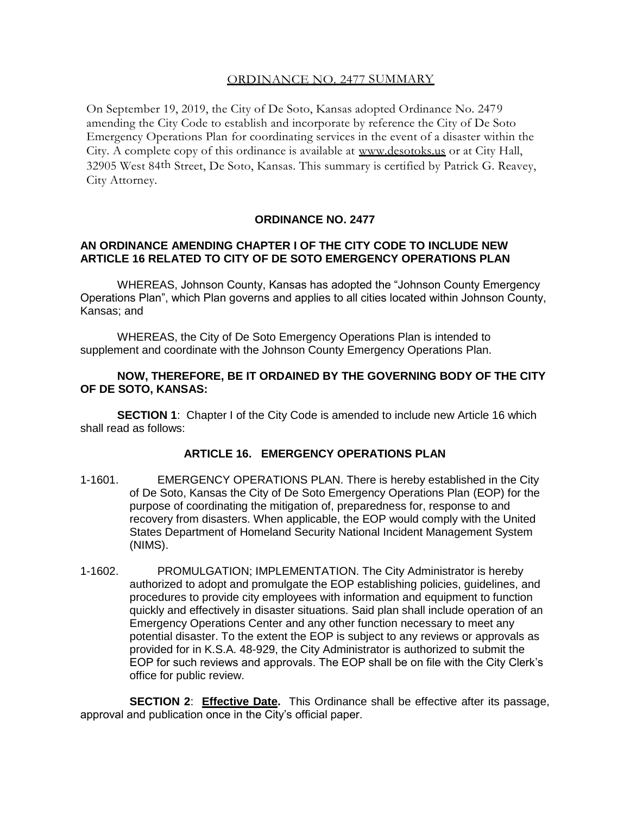# ORDINANCE NO. 2477 SUMMARY

On September 19, 2019, the City of De Soto, Kansas adopted Ordinance No. 2479 amending the City Code to establish and incorporate by reference the City of De Soto Emergency Operations Plan for coordinating services in the event of a disaster within the City. A complete copy of this ordinance is available at [www.desotoks.us](http://www.desotoks.us/) or at City Hall, 32905 West 84th Street, De Soto, Kansas. This summary is certified by Patrick G. Reavey, City Attorney.

## **ORDINANCE NO. 2477**

### **AN ORDINANCE AMENDING CHAPTER I OF THE CITY CODE TO INCLUDE NEW ARTICLE 16 RELATED TO CITY OF DE SOTO EMERGENCY OPERATIONS PLAN**

WHEREAS, Johnson County, Kansas has adopted the "Johnson County Emergency Operations Plan", which Plan governs and applies to all cities located within Johnson County, Kansas; and

WHEREAS, the City of De Soto Emergency Operations Plan is intended to supplement and coordinate with the Johnson County Emergency Operations Plan.

### **NOW, THEREFORE, BE IT ORDAINED BY THE GOVERNING BODY OF THE CITY OF DE SOTO, KANSAS:**

**SECTION 1:** Chapter I of the City Code is amended to include new Article 16 which shall read as follows:

## **ARTICLE 16. EMERGENCY OPERATIONS PLAN**

- 1-1601. EMERGENCY OPERATIONS PLAN. There is hereby established in the City of De Soto, Kansas the City of De Soto Emergency Operations Plan (EOP) for the purpose of coordinating the mitigation of, preparedness for, response to and recovery from disasters. When applicable, the EOP would comply with the United States Department of Homeland Security National Incident Management System (NIMS).
- 1-1602. PROMULGATION; IMPLEMENTATION. The City Administrator is hereby authorized to adopt and promulgate the EOP establishing policies, guidelines, and procedures to provide city employees with information and equipment to function quickly and effectively in disaster situations. Said plan shall include operation of an Emergency Operations Center and any other function necessary to meet any potential disaster. To the extent the EOP is subject to any reviews or approvals as provided for in K.S.A. 48-929, the City Administrator is authorized to submit the EOP for such reviews and approvals. The EOP shall be on file with the City Clerk's office for public review.

**SECTION 2**: **Effective Date.** This Ordinance shall be effective after its passage, approval and publication once in the City's official paper.